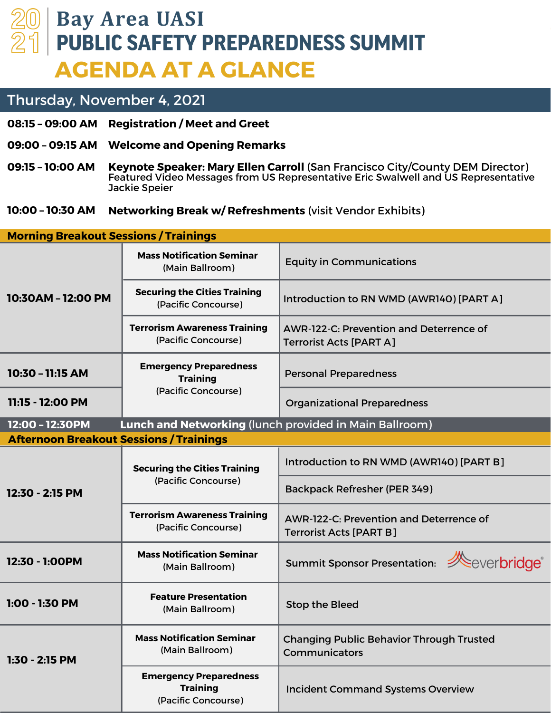## **Bay Area UASI PUBLIC SAFETY PREPAREDNESS SUMMIT AGENDA AT A GLANCE**

## Thursday, November 4, 2021

- **Registration / Meet and Greet 08:15 – 09:00 AM**
- **Welcome and Opening Remarks 09:00 – 09:15 AM**
- **Keynote Speaker: Mary Ellen Carroll** (San Francisco City/County DEM Director) Featured Video Messages from US Representative Eric Swalwell and US Representative Jackie Speier **09:15 – 10:00 AM**
- **Networking Break w/ Refreshments** (visit Vendor Exhibits) **10:00 – 10:30 AM**

| <b>Morning Breakout Sessions / Trainings</b>                              |                                                                         |                                                                                  |  |  |
|---------------------------------------------------------------------------|-------------------------------------------------------------------------|----------------------------------------------------------------------------------|--|--|
| 10:30AM - 12:00 PM                                                        | <b>Mass Notification Seminar</b><br>(Main Ballroom)                     | <b>Equity in Communications</b>                                                  |  |  |
|                                                                           | <b>Securing the Cities Training</b><br>(Pacific Concourse)              | Introduction to RN WMD (AWR140) [PART A]                                         |  |  |
|                                                                           | <b>Terrorism Awareness Training</b><br>(Pacific Concourse)              | <b>AWR-122-C: Prevention and Deterrence of</b><br><b>Terrorist Acts [PART A]</b> |  |  |
| 10:30 - 11:15 AM                                                          | <b>Emergency Preparedness</b><br><b>Training</b><br>(Pacific Concourse) | <b>Personal Preparedness</b>                                                     |  |  |
| 11:15 - 12:00 PM                                                          |                                                                         | <b>Organizational Preparedness</b>                                               |  |  |
| 12:00 - 12:30PM<br>Lunch and Networking (lunch provided in Main Ballroom) |                                                                         |                                                                                  |  |  |
| <b>Afternoon Breakout Sessions / Trainings</b>                            |                                                                         |                                                                                  |  |  |
| 12:30 - 2:15 PM                                                           | <b>Securing the Cities Training</b><br>(Pacific Concourse)              | Introduction to RN WMD (AWR140) [PART B]                                         |  |  |
|                                                                           |                                                                         | <b>Backpack Refresher (PER 349)</b>                                              |  |  |
|                                                                           | <b>Terrorism Awareness Training</b><br>(Pacific Concourse)              | <b>AWR-122-C: Prevention and Deterrence of</b><br><b>Terrorist Acts [PART B]</b> |  |  |
| 12:30 - 1:00PM                                                            | <b>Mass Notification Seminar</b><br>(Main Ballroom)                     | Summit Sponsor Presentation: <b>Summit Sponsor Presentation:</b>                 |  |  |
| 1:00 - 1:30 PM                                                            | <b>Feature Presentation</b><br>(Main Ballroom)                          | <b>Stop the Bleed</b>                                                            |  |  |
| $1:30 - 2:15$ PM                                                          | <b>Mass Notification Seminar</b><br>(Main Ballroom)                     | <b>Changing Public Behavior Through Trusted</b><br>Communicators                 |  |  |
|                                                                           | <b>Emergency Preparedness</b><br><b>Training</b><br>(Pacific Concourse) | <b>Incident Command Systems Overview</b>                                         |  |  |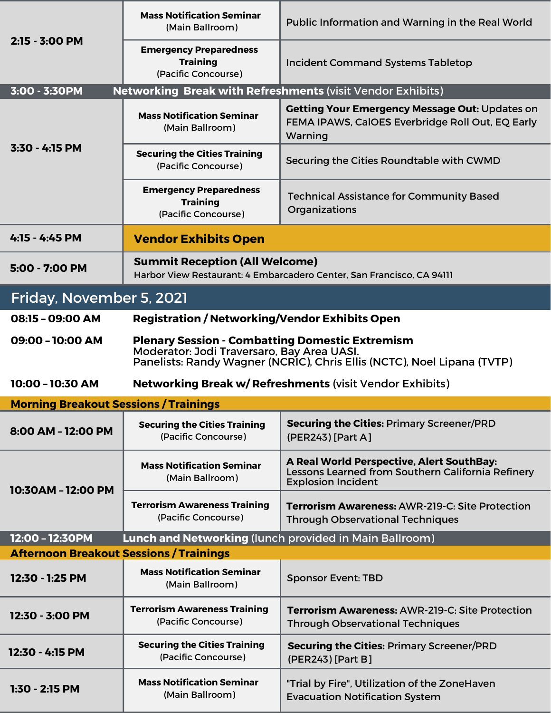| 2:15 - 3:00 PM                                                                     | <b>Mass Notification Seminar</b><br>(Main Ballroom)                                                                                                                             | Public Information and Warning in the Real World                                                                            |  |  |
|------------------------------------------------------------------------------------|---------------------------------------------------------------------------------------------------------------------------------------------------------------------------------|-----------------------------------------------------------------------------------------------------------------------------|--|--|
|                                                                                    | <b>Emergency Preparedness</b><br><b>Training</b><br>(Pacific Concourse)                                                                                                         | <b>Incident Command Systems Tabletop</b>                                                                                    |  |  |
| 3:00 - 3:30PM<br><b>Networking Break with Refreshments (visit Vendor Exhibits)</b> |                                                                                                                                                                                 |                                                                                                                             |  |  |
| $3:30 - 4:15$ PM                                                                   | <b>Mass Notification Seminar</b><br>(Main Ballroom)                                                                                                                             | <b>Getting Your Emergency Message Out: Updates on</b><br>FEMA IPAWS, CalOES Everbridge Roll Out, EQ Early<br>Warning        |  |  |
|                                                                                    | <b>Securing the Cities Training</b><br>(Pacific Concourse)                                                                                                                      | Securing the Cities Roundtable with CWMD                                                                                    |  |  |
|                                                                                    | <b>Emergency Preparedness</b><br><b>Training</b><br>(Pacific Concourse)                                                                                                         | <b>Technical Assistance for Community Based</b><br>Organizations                                                            |  |  |
| 4:15 - 4:45 PM                                                                     | <b>Vendor Exhibits Open</b>                                                                                                                                                     |                                                                                                                             |  |  |
| 5:00 - 7:00 PM                                                                     | <b>Summit Reception (All Welcome)</b><br>Harbor View Restaurant: 4 Embarcadero Center, San Francisco, CA 94111                                                                  |                                                                                                                             |  |  |
| Friday, November 5, 2021                                                           |                                                                                                                                                                                 |                                                                                                                             |  |  |
| 08:15 - 09:00 AM                                                                   | <b>Registration / Networking/Vendor Exhibits Open</b>                                                                                                                           |                                                                                                                             |  |  |
| 09:00 - 10:00 AM                                                                   | <b>Plenary Session - Combatting Domestic Extremism</b><br>Moderator: Jodi Traversaro, Bay Area UASI.<br>Panelists: Randy Wagner (NCRIC), Chris Ellis (NCTC), Noel Lipana (TVTP) |                                                                                                                             |  |  |
|                                                                                    |                                                                                                                                                                                 |                                                                                                                             |  |  |
| 10:00 - 10:30 AM                                                                   |                                                                                                                                                                                 | <b>Networking Break w/ Refreshments (visit Vendor Exhibits)</b>                                                             |  |  |
| <b>Morning Breakout Sessions / Trainings</b>                                       |                                                                                                                                                                                 |                                                                                                                             |  |  |
| 8:00 AM - 12:00 PM                                                                 | <b>Securing the Cities Training</b><br>(Pacific Concourse)                                                                                                                      | <b>Securing the Cities: Primary Screener/PRD</b><br>(PER243) [Part A]                                                       |  |  |
|                                                                                    | <b>Mass Notification Seminar</b><br>(Main Ballroom)                                                                                                                             | A Real World Perspective, Alert SouthBay:<br>Lessons Learned from Southern California Refinery<br><b>Explosion Incident</b> |  |  |
| 10:30AM - 12:00 PM                                                                 | <b>Terrorism Awareness Training</b><br>(Pacific Concourse)                                                                                                                      | Terrorism Awareness: AWR-219-C: Site Protection<br><b>Through Observational Techniques</b>                                  |  |  |
| 12:00 - 12:30PM                                                                    | <b>Lunch and Networking (lunch provided in Main Ballroom)</b>                                                                                                                   |                                                                                                                             |  |  |
| <b>Afternoon Breakout Sessions / Trainings</b>                                     |                                                                                                                                                                                 |                                                                                                                             |  |  |
| 12:30 - 1:25 PM                                                                    | <b>Mass Notification Seminar</b><br>(Main Ballroom)                                                                                                                             | <b>Sponsor Event: TBD</b>                                                                                                   |  |  |
| 12:30 - 3:00 PM                                                                    | <b>Terrorism Awareness Training</b><br>(Pacific Concourse)                                                                                                                      | <b>Terrorism Awareness: AWR-219-C: Site Protection</b><br><b>Through Observational Techniques</b>                           |  |  |
| 12:30 - 4:15 PM                                                                    | <b>Securing the Cities Training</b><br>(Pacific Concourse)                                                                                                                      | <b>Securing the Cities: Primary Screener/PRD</b><br>(PER243) [Part B]                                                       |  |  |